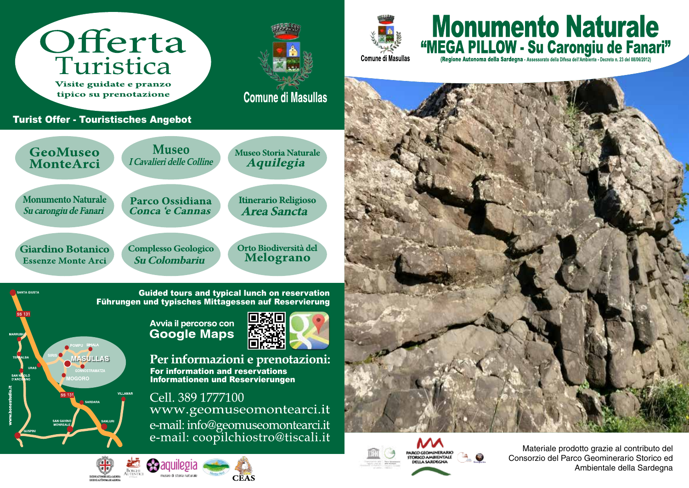

museo di storia naturali

**CEAS** 



Materiale prodotto grazie al contributo del Consorzio del Parco Geominerario Storico ed Ambientale della Sardegna

**Monumento Naturale** 

<sup>44</sup>MEGA PILLOW - Su Carongiu de Fanari<sup>77</sup>